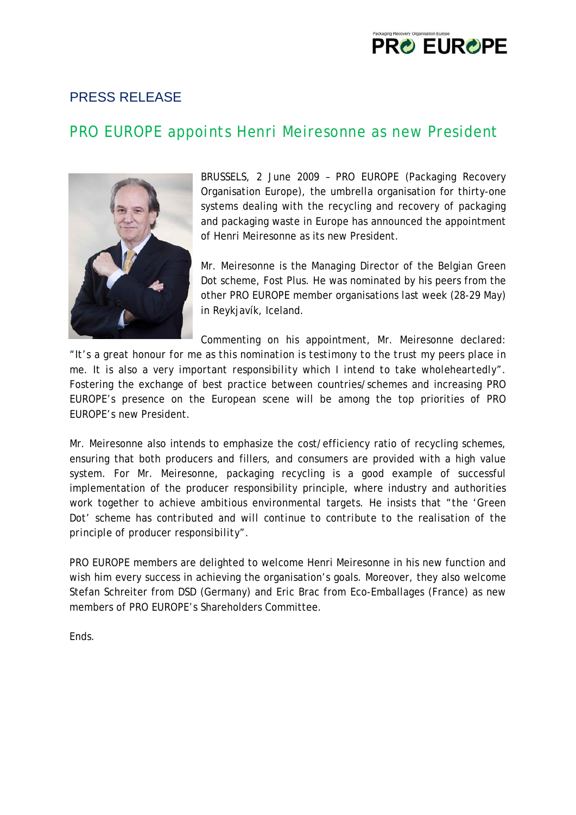# **PRO EUROPE**

### PRESS RELEASE

## PRO EUROPE appoints Henri Meiresonne as new President



BRUSSELS, 2 June 2009 – PRO EUROPE (Packaging Recovery Organisation Europe), the umbrella organisation for thirty-one systems dealing with the recycling and recovery of packaging and packaging waste in Europe has announced the appointment of Henri Meiresonne as its new President.

Mr. Meiresonne is the Managing Director of the Belgian Green Dot scheme, Fost Plus. He was nominated by his peers from the other PRO EUROPE member organisations last week (28-29 May) in Reykjavík, Iceland.

Commenting on his appointment, Mr. Meiresonne declared: "*It's a great honour for me as this nomination is testimony to the trust my peers place in me. It is also a very important responsibility which I intend to take wholeheartedly*". Fostering the exchange of best practice between countries/schemes and increasing PRO EUROPE's presence on the European scene will be among the top priorities of PRO EUROPE's new President.

Mr. Meiresonne also intends to emphasize the cost/efficiency ratio of recycling schemes, ensuring that both producers and fillers, and consumers are provided with a high value system. For Mr. Meiresonne, packaging recycling is a good example of successful implementation of the producer responsibility principle, where industry and authorities work together to achieve ambitious environmental targets. He insists that "*the 'Green Dot' scheme has contributed and will continue to contribute to the realisation of the principle of producer responsibility*".

PRO EUROPE members are delighted to welcome Henri Meiresonne in his new function and wish him every success in achieving the organisation's goals. Moreover, they also welcome Stefan Schreiter from DSD (Germany) and Eric Brac from Eco-Emballages (France) as new members of PRO EUROPE's Shareholders Committee.

**Ends**.